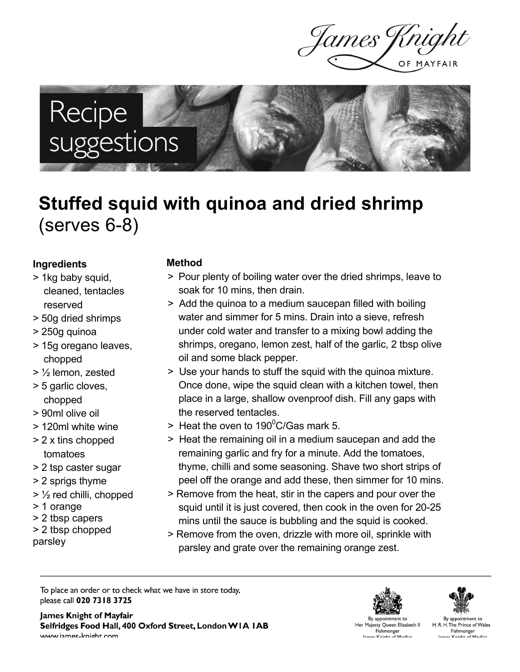James Jt

# Recipe<br>suggestions

## **Stuffed squid with quinoa and dried shrimp** (serves 6-8)

#### **Ingredients**

- > 1kg baby squid, cleaned, tentacles reserved
- > 50g dried shrimps
- > 250g quinoa
- > 15g oregano leaves, chopped
- > ½ lemon, zested
- > 5 garlic cloves, chopped
- > 90ml olive oil
- > 120ml white wine
- > 2 x tins chopped tomatoes
- > 2 tsp caster sugar
- > 2 sprigs thyme
- $>$  1/<sub>2</sub> red chilli, chopped
- > 1 orange
- > 2 tbsp capers
- > 2 tbsp chopped
- parsley

#### **Method**

- > Pour plenty of boiling water over the dried shrimps, leave to soak for 10 mins, then drain.
- > Add the quinoa to a medium saucepan filled with boiling water and simmer for 5 mins. Drain into a sieve, refresh under cold water and transfer to a mixing bowl adding the shrimps, oregano, lemon zest, half of the garlic, 2 tbsp olive oil and some black pepper.
- > Use your hands to stuff the squid with the quinoa mixture. Once done, wipe the squid clean with a kitchen towel, then place in a large, shallow ovenproof dish. Fill any gaps with the reserved tentacles.
- > Heat the oven to 190 $^0$ C/Gas mark 5.
- > Heat the remaining oil in a medium saucepan and add the remaining garlic and fry for a minute. Add the tomatoes, thyme, chilli and some seasoning. Shave two short strips of peel off the orange and add these, then simmer for 10 mins.
- > Remove from the heat, stir in the capers and pour over the squid until it is just covered, then cook in the oven for 20-25 mins until the sauce is bubbling and the squid is cooked.
- > Remove from the oven, drizzle with more oil, sprinkle with parsley and grate over the remaining orange zest.

To place an order or to check what we have in store today, please call 020 7318 3725

James Knight of Mayfair Selfridges Food Hall, 400 Oxford Street, London WIA IAB www iames-knight com



By appointment to Her Majesty Queen Elizabeth II Fishmonger nas Knight of Mawfair<br>mas Knight of Mawfair



By appointment to H. R. H. The Prince of Wales Fishmonger<br>۲-Mavfair مهوم Knight of Mavfair